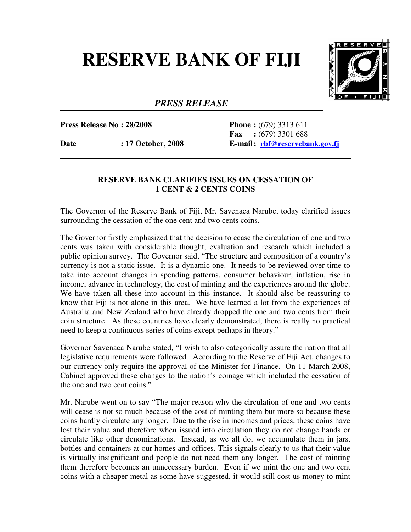## **RESERVE BANK OF FIJI**



## *PRESS RELEASE*

**Press Release No : 28/2008 Phone :** (679) 3313 611

 **Fax :** (679) 3301 688 Date : 17 October, 2008 E-mail: rbf@reservebank.gov.fj

## **RESERVE BANK CLARIFIES ISSUES ON CESSATION OF 1 CENT & 2 CENTS COINS**

The Governor of the Reserve Bank of Fiji, Mr. Savenaca Narube, today clarified issues surrounding the cessation of the one cent and two cents coins.

The Governor firstly emphasized that the decision to cease the circulation of one and two cents was taken with considerable thought, evaluation and research which included a public opinion survey. The Governor said, "The structure and composition of a country's currency is not a static issue. It is a dynamic one. It needs to be reviewed over time to take into account changes in spending patterns, consumer behaviour, inflation, rise in income, advance in technology, the cost of minting and the experiences around the globe. We have taken all these into account in this instance. It should also be reassuring to know that Fiji is not alone in this area. We have learned a lot from the experiences of Australia and New Zealand who have already dropped the one and two cents from their coin structure. As these countries have clearly demonstrated, there is really no practical need to keep a continuous series of coins except perhaps in theory."

Governor Savenaca Narube stated, "I wish to also categorically assure the nation that all legislative requirements were followed. According to the Reserve of Fiji Act, changes to our currency only require the approval of the Minister for Finance. On 11 March 2008, Cabinet approved these changes to the nation's coinage which included the cessation of the one and two cent coins."

Mr. Narube went on to say "The major reason why the circulation of one and two cents will cease is not so much because of the cost of minting them but more so because these coins hardly circulate any longer. Due to the rise in incomes and prices, these coins have lost their value and therefore when issued into circulation they do not change hands or circulate like other denominations. Instead, as we all do, we accumulate them in jars, bottles and containers at our homes and offices. This signals clearly to us that their value is virtually insignificant and people do not need them any longer. The cost of minting them therefore becomes an unnecessary burden. Even if we mint the one and two cent coins with a cheaper metal as some have suggested, it would still cost us money to mint